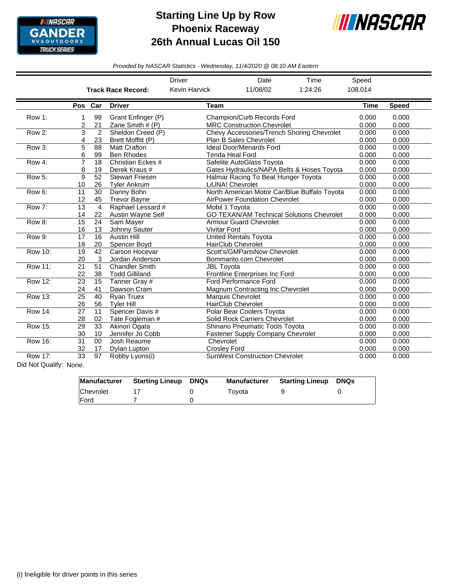

## **Starting Line Up by Row Phoenix Raceway 26th Annual Lucas Oil 150**



*Provided by NASCAR Statistics - Wednesday, 11/4/2020 @ 08:10 AM Eastern*

|                |                 |                |                           | <b>Driver</b>                     | Date                                             | Time                                         | Speed       |              |  |
|----------------|-----------------|----------------|---------------------------|-----------------------------------|--------------------------------------------------|----------------------------------------------|-------------|--------------|--|
|                |                 |                | <b>Track Race Record:</b> | <b>Kevin Harvick</b>              | 11/08/02                                         | 1:24:26                                      | 108.014     |              |  |
|                |                 |                |                           |                                   |                                                  |                                              |             |              |  |
|                | Pos Car         |                | <b>Driver</b>             | <b>Team</b>                       |                                                  |                                              | <b>Time</b> | <b>Speed</b> |  |
| Row 1:         | 1               | 98             | Grant Enfinger (P)        |                                   | Champion/Curb Records Ford                       |                                              |             | 0.000        |  |
|                | 2               | 21             | Zane Smith # (P)          | <b>MRC Construction Chevrolet</b> | 0.000                                            | 0.000                                        |             |              |  |
| Row 2:         | 3               | $\overline{2}$ | Sheldon Creed (P)         |                                   | Chevy Accessories/Trench Shoring Chevrolet       |                                              |             |              |  |
|                | 4               | 23             | Brett Moffitt (P)         |                                   | Plan B Sales Chevrolet                           | 0.000                                        | 0.000       |              |  |
| Row 3:         | 5               | 88             | <b>Matt Crafton</b>       |                                   | <b>Ideal Door/Menards Ford</b>                   | 0.000                                        | 0.000       |              |  |
|                | 6               | 99             | <b>Ben Rhodes</b>         |                                   | <b>Tenda Heal Ford</b>                           | 0.000                                        | 0.000       |              |  |
| Row 4:         | $\overline{7}$  | 18             | Christian Eckes #         |                                   | Safelite AutoGlass Toyota                        | 0.000                                        | 0.000       |              |  |
|                | 8               | 19             | Derek Kraus #             |                                   | Gates Hydraulics/NAPA Belts & Hoses Toyota       |                                              | 0.000       | 0.000        |  |
| Row 5:         | 9               | 52             | <b>Stewart Friesen</b>    |                                   | Halmar Racing To Beat Hunger Toyota              | 0.000                                        | 0.000       |              |  |
|                | 10              | 26             | <b>Tyler Ankrum</b>       |                                   | LiUNA! Chevrolet                                 |                                              | 0.000       | 0.000        |  |
| Row 6:         | 11              | 30             | Danny Bohn                |                                   |                                                  | North American Motor Car/Blue Buffalo Toyota | 0.000       | 0.000        |  |
|                | 12              | 45             | <b>Trevor Bayne</b>       |                                   | AirPower Foundation Chevrolet                    |                                              | 0.000       | 0.000        |  |
| Row 7:         | 13              | $\overline{4}$ | Raphael Lessard #         |                                   | Mobil 1 Toyota                                   |                                              | 0.000       | 0.000        |  |
|                | 14              | 22             | Austin Wayne Self         |                                   | <b>GO TEXAN/AM Technical Solutions Chevrolet</b> |                                              | 0.000       | 0.000        |  |
| Row 8:         | $\overline{15}$ | 24             | Sam Mayer                 |                                   | <b>Armour Guard Chevrolet</b>                    |                                              | 0.000       | 0.000        |  |
|                | 16              | 13             | Johnny Sauter             | <b>Vivitar Ford</b>               |                                                  |                                              | 0.000       | 0.000        |  |
| Row 9:         | 17              | 16             | <b>Austin Hill</b>        |                                   | <b>United Rentals Toyota</b>                     | 0.000                                        | 0.000       |              |  |
|                | 18              | 20             | Spencer Bovd              | <b>HairClub Chevrolet</b>         | 0.000                                            | 0.000                                        |             |              |  |
| <b>Row 10:</b> | 19              | 42             | Carson Hocevar            |                                   | Scott's/GMPartsNow Chevrolet                     |                                              |             |              |  |
|                | 20              | 3              | Jordan Anderson           |                                   | Bommarito.com Chevrolet                          |                                              | 0.000       | 0.000        |  |
| <b>Row 11:</b> | 21              | 51             | <b>Chandler Smith</b>     | <b>JBL Toyota</b>                 |                                                  | 0.000                                        | 0.000       |              |  |
|                | 22              | 38             | <b>Todd Gilliland</b>     |                                   | Frontline Enterprises Inc Ford                   |                                              | 0.000       | 0.000        |  |
| Row 12:        | 23              | 15             | Tanner Gray #             |                                   | Ford Performance Ford                            |                                              | 0.000       | 0.000        |  |
|                | 24              | 41             | Dawson Cram               |                                   | Magnum Contracting Inc Chevrolet                 |                                              | 0.000       | 0.000        |  |
| Row 13:        | $\overline{25}$ | 40             | <b>Ryan Truex</b>         |                                   | Marquis Chevrolet                                |                                              | 0.000       | 0.000        |  |
|                | 26              | 56             | <b>Tyler Hill</b>         |                                   | <b>HairClub Chevrolet</b>                        |                                              | 0.000       | 0.000        |  |
| <b>Row 14:</b> | 27              | 11             | Spencer Davis #           |                                   | Polar Bear Coolers Toyota                        |                                              | 0.000       | 0.000        |  |
|                | 28              | 02             | Tate Fogleman #           |                                   | Solid Rock Carriers Chevrolet                    |                                              | 0.000       | 0.000        |  |
| <b>Row 15:</b> | 29              | 33             | Akinori Ogata             |                                   | Shinano Pneumatic Tools Toyota                   |                                              | 0.000       | 0.000        |  |
|                | 30              | 10             | Jennifer Jo Cobb          |                                   | <b>Fastener Supply Company Chevrolet</b>         |                                              | 0.000       | 0.000        |  |
| <b>Row 16:</b> | 31              | 00             | Josh Reaume               | Chevrolet                         |                                                  |                                              | 0.000       | 0.000        |  |
|                | 32              | 17             | Dylan Lupton              | <b>Crosley Ford</b>               |                                                  |                                              | 0.000       | 0.000        |  |
| Row 17:        | 33              | 97             | Robby Lyons(i)            |                                   | <b>SunWest Construction Chevrolet</b>            |                                              | 0.000       | 0.000        |  |

Did Not Qualify: None.

|              | Manufacturer Starting Lineup DNQs | Manufacturer | <b>Starting Lineup DNQs</b> |  |
|--------------|-----------------------------------|--------------|-----------------------------|--|
| Chevrolet    |                                   | Tovota       |                             |  |
| <b>IFord</b> |                                   |              |                             |  |